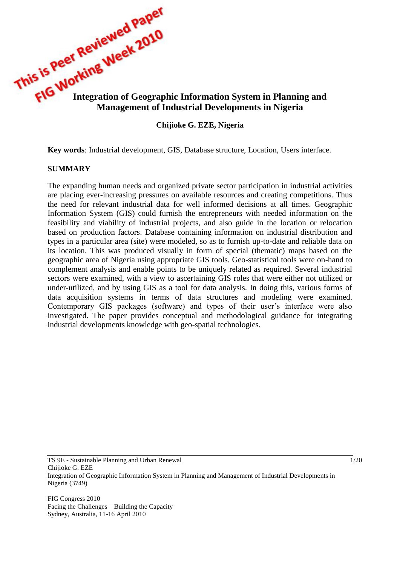

### **Chijioke G. EZE, Nigeria**

**Key words**: Industrial development, GIS, Database structure, Location, Users interface.

### **SUMMARY**

The expanding human needs and organized private sector participation in industrial activities are placing ever-increasing pressures on available resources and creating competitions. Thus the need for relevant industrial data for well informed decisions at all times. Geographic Information System (GIS) could furnish the entrepreneurs with needed information on the feasibility and viability of industrial projects, and also guide in the location or relocation based on production factors. Database containing information on industrial distribution and types in a particular area (site) were modeled, so as to furnish up-to-date and reliable data on its location. This was produced visually in form of special (thematic) maps based on the geographic area of Nigeria using appropriate GIS tools. Geo-statistical tools were on-hand to complement analysis and enable points to be uniquely related as required. Several industrial sectors were examined, with a view to ascertaining GIS roles that were either not utilized or under-utilized, and by using GIS as a tool for data analysis. In doing this, various forms of data acquisition systems in terms of data structures and modeling were examined. Contemporary GIS packages (software) and types of their user's interface were also investigated. The paper provides conceptual and methodological guidance for integrating industrial developments knowledge with geo-spatial technologies.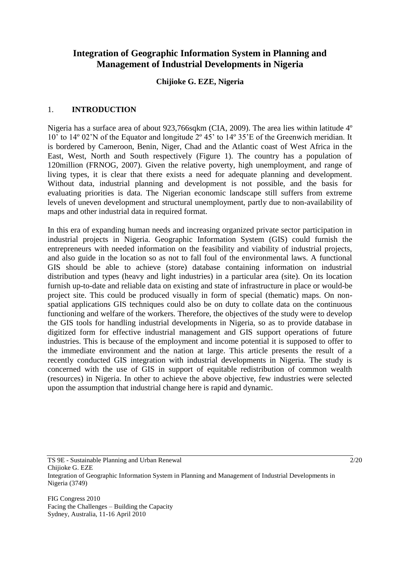# **Integration of Geographic Information System in Planning and Management of Industrial Developments in Nigeria**

### **Chijioke G. EZE, Nigeria**

### 1. **INTRODUCTION**

Nigeria has a surface area of about 923,766sqkm (CIA, 2009). The area lies within latitude 4º 10' to 14º 02'N of the Equator and longitude 2º 45' to 14º 35'E of the Greenwich meridian. It is bordered by Cameroon, Benin, Niger, Chad and the Atlantic coast of West Africa in the East, West, North and South respectively (Figure 1). The country has a population of 120million (FRNOG, 2007). Given the relative poverty, high unemployment, and range of living types, it is clear that there exists a need for adequate planning and development. Without data, industrial planning and development is not possible, and the basis for evaluating priorities is data. The Nigerian economic landscape still suffers from extreme levels of uneven development and structural unemployment, partly due to non-availability of maps and other industrial data in required format.

In this era of expanding human needs and increasing organized private sector participation in industrial projects in Nigeria. Geographic Information System (GIS) could furnish the entrepreneurs with needed information on the feasibility and viability of industrial projects, and also guide in the location so as not to fall foul of the environmental laws. A functional GIS should be able to achieve (store) database containing information on industrial distribution and types (heavy and light industries) in a particular area (site). On its location furnish up-to-date and reliable data on existing and state of infrastructure in place or would-be project site. This could be produced visually in form of special (thematic) maps. On nonspatial applications GIS techniques could also be on duty to collate data on the continuous functioning and welfare of the workers. Therefore, the objectives of the study were to develop the GIS tools for handling industrial developments in Nigeria, so as to provide database in digitized form for effective industrial management and GIS support operations of future industries. This is because of the employment and income potential it is supposed to offer to the immediate environment and the nation at large. This article presents the result of a recently conducted GIS integration with industrial developments in Nigeria. The study is concerned with the use of GIS in support of equitable redistribution of common wealth (resources) in Nigeria. In other to achieve the above objective, few industries were selected upon the assumption that industrial change here is rapid and dynamic.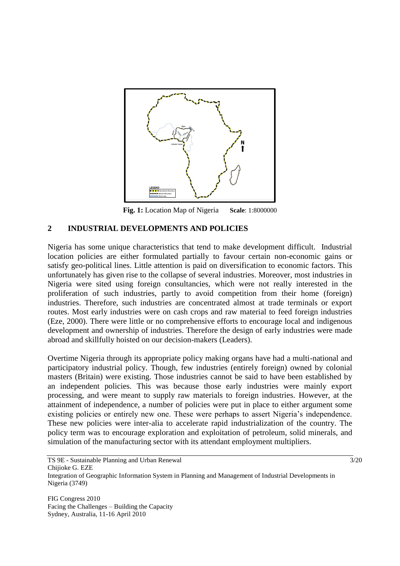

**Fig. 1:** Location Map of Nigeria **Scale**: 1:8000000

### **2 INDUSTRIAL DEVELOPMENTS AND POLICIES**

Nigeria has some unique characteristics that tend to make development difficult. Industrial location policies are either formulated partially to favour certain non-economic gains or satisfy geo-political lines. Little attention is paid on diversification to economic factors. This unfortunately has given rise to the collapse of several industries. Moreover, most industries in Nigeria were sited using foreign consultancies, which were not really interested in the proliferation of such industries, partly to avoid competition from their home (foreign) industries. Therefore, such industries are concentrated almost at trade terminals or export routes. Most early industries were on cash crops and raw material to feed foreign industries (Eze, 2000). There were little or no comprehensive efforts to encourage local and indigenous development and ownership of industries. Therefore the design of early industries were made abroad and skillfully hoisted on our decision-makers (Leaders).

Overtime Nigeria through its appropriate policy making organs have had a multi-national and participatory industrial policy. Though, few industries (entirely foreign) owned by colonial masters (Britain) were existing. Those industries cannot be said to have been established by an independent policies. This was because those early industries were mainly export processing, and were meant to supply raw materials to foreign industries. However, at the attainment of independence, a number of policies were put in place to either argument some existing policies or entirely new one. These were perhaps to assert Nigeria's independence. These new policies were inter-alia to accelerate rapid industrialization of the country. The policy term was to encourage exploration and exploitation of petroleum, solid minerals, and simulation of the manufacturing sector with its attendant employment multipliers.

TS 9E - Sustainable Planning and Urban Renewal 3/20 Chijioke G. EZE Integration of Geographic Information System in Planning and Management of Industrial Developments in Nigeria (3749)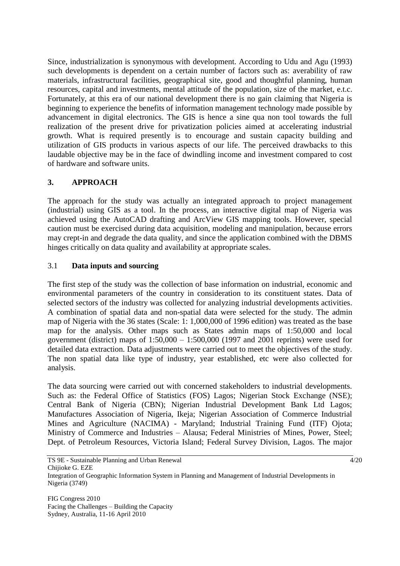Since, industrialization is synonymous with development. According to Udu and Agu (1993) such developments is dependent on a certain number of factors such as: averability of raw materials, infrastructural facilities, geographical site, good and thoughtful planning, human resources, capital and investments, mental attitude of the population, size of the market, e.t.c. Fortunately, at this era of our national development there is no gain claiming that Nigeria is beginning to experience the benefits of information management technology made possible by advancement in digital electronics. The GIS is hence a sine qua non tool towards the full realization of the present drive for privatization policies aimed at accelerating industrial growth. What is required presently is to encourage and sustain capacity building and utilization of GIS products in various aspects of our life. The perceived drawbacks to this laudable objective may be in the face of dwindling income and investment compared to cost of hardware and software units.

## **3. APPROACH**

The approach for the study was actually an integrated approach to project management (industrial) using GIS as a tool. In the process, an interactive digital map of Nigeria was achieved using the AutoCAD drafting and ArcView GIS mapping tools. However, special caution must be exercised during data acquisition, modeling and manipulation, because errors may crept-in and degrade the data quality, and since the application combined with the DBMS hinges critically on data quality and availability at appropriate scales.

## 3.1 **Data inputs and sourcing**

The first step of the study was the collection of base information on industrial, economic and environmental parameters of the country in consideration to its constituent states. Data of selected sectors of the industry was collected for analyzing industrial developments activities. A combination of spatial data and non-spatial data were selected for the study. The admin map of Nigeria with the 36 states (Scale: 1: 1,000,000 of 1996 edition) was treated as the base map for the analysis. Other maps such as States admin maps of 1:50,000 and local government (district) maps of 1:50,000 – 1:500,000 (1997 and 2001 reprints) were used for detailed data extraction. Data adjustments were carried out to meet the objectives of the study. The non spatial data like type of industry, year established, etc were also collected for analysis.

The data sourcing were carried out with concerned stakeholders to industrial developments. Such as: the Federal Office of Statistics (FOS) Lagos; Nigerian Stock Exchange (NSE); Central Bank of Nigeria (CBN); Nigerian Industrial Development Bank Ltd Lagos; Manufactures Association of Nigeria, Ikeja; Nigerian Association of Commerce Industrial Mines and Agriculture (NACIMA) - Maryland; Industrial Training Fund (ITF) Ojota; Ministry of Commerce and Industries – Alausa; Federal Ministries of Mines, Power, Steel; Dept. of Petroleum Resources, Victoria Island; Federal Survey Division, Lagos. The major

TS 9E - Sustainable Planning and Urban Renewal 4/20 Chijioke G. EZE Integration of Geographic Information System in Planning and Management of Industrial Developments in Nigeria (3749)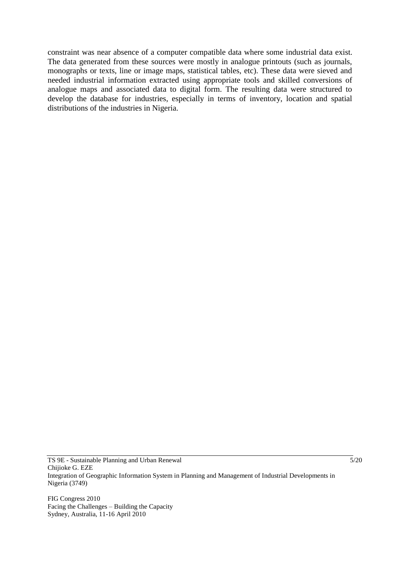constraint was near absence of a computer compatible data where some industrial data exist. The data generated from these sources were mostly in analogue printouts (such as journals, monographs or texts, line or image maps, statistical tables, etc). These data were sieved and needed industrial information extracted using appropriate tools and skilled conversions of analogue maps and associated data to digital form. The resulting data were structured to develop the database for industries, especially in terms of inventory, location and spatial distributions of the industries in Nigeria.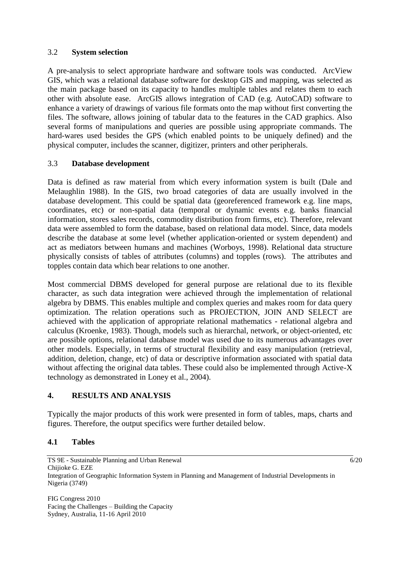### 3.2 **System selection**

A pre-analysis to select appropriate hardware and software tools was conducted. ArcView GIS, which was a relational database software for desktop GIS and mapping, was selected as the main package based on its capacity to handles multiple tables and relates them to each other with absolute ease. ArcGIS allows integration of CAD (e.g. AutoCAD) software to enhance a variety of drawings of various file formats onto the map without first converting the files. The software, allows joining of tabular data to the features in the CAD graphics. Also several forms of manipulations and queries are possible using appropriate commands. The hard-wares used besides the GPS (which enabled points to be uniquely defined) and the physical computer, includes the scanner, digitizer, printers and other peripherals.

## 3.3 **Database development**

Data is defined as raw material from which every information system is built (Dale and Melaughlin 1988). In the GIS, two broad categories of data are usually involved in the database development. This could be spatial data (georeferenced framework e.g. line maps, coordinates, etc) or non-spatial data (temporal or dynamic events e.g. banks financial information, stores sales records, commodity distribution from firms, etc). Therefore, relevant data were assembled to form the database, based on relational data model. Since, data models describe the database at some level (whether application-oriented or system dependent) and act as mediators between humans and machines (Worboys, 1998). Relational data structure physically consists of tables of attributes (columns) and topples (rows). The attributes and topples contain data which bear relations to one another.

Most commercial DBMS developed for general purpose are relational due to its flexible character, as such data integration were achieved through the implementation of relational algebra by DBMS. This enables multiple and complex queries and makes room for data query optimization. The relation operations such as PROJECTION, JOIN AND SELECT are achieved with the application of appropriate relational mathematics - relational algebra and calculus (Kroenke, 1983). Though, models such as hierarchal, network, or object-oriented, etc are possible options, relational database model was used due to its numerous advantages over other models. Especially, in terms of structural flexibility and easy manipulation (retrieval, addition, deletion, change, etc) of data or descriptive information associated with spatial data without affecting the original data tables. These could also be implemented through Active-X technology as demonstrated in Loney et al., 2004).

## **4. RESULTS AND ANALYSIS**

Typically the major products of this work were presented in form of tables, maps, charts and figures. Therefore, the output specifics were further detailed below.

## **4.1 Tables**

TS 9E - Sustainable Planning and Urban Renewal 6/20 Chijioke G. EZE Integration of Geographic Information System in Planning and Management of Industrial Developments in Nigeria (3749)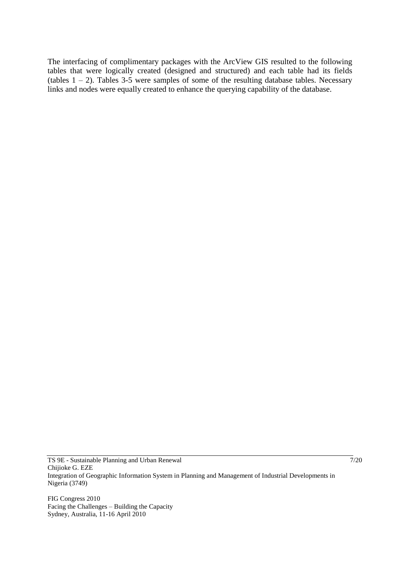The interfacing of complimentary packages with the ArcView GIS resulted to the following tables that were logically created (designed and structured) and each table had its fields (tables  $1 - 2$ ). Tables 3-5 were samples of some of the resulting database tables. Necessary links and nodes were equally created to enhance the querying capability of the database.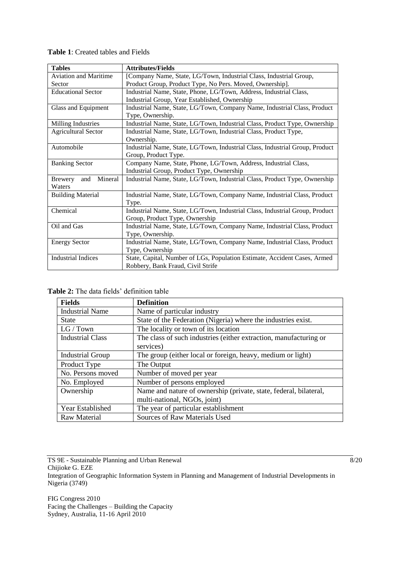| <b>Tables</b>                    | <b>Attributes/Fields</b>                                                     |
|----------------------------------|------------------------------------------------------------------------------|
| <b>Aviation and Maritime</b>     | [Company Name, State, LG/Town, Industrial Class, Industrial Group,           |
| Sector                           | Product Group, Product Type, No Pers. Moved, Ownership].                     |
| <b>Educational Sector</b>        | Industrial Name, State, Phone, LG/Town, Address, Industrial Class,           |
|                                  | Industrial Group, Year Established, Ownership                                |
| Glass and Equipment              | Industrial Name, State, LG/Town, Company Name, Industrial Class, Product     |
|                                  | Type, Ownership.                                                             |
| Milling Industries               | Industrial Name, State, LG/Town, Industrial Class, Product Type, Ownership   |
| <b>Agricultural Sector</b>       | Industrial Name, State, LG/Town, Industrial Class, Product Type,             |
|                                  | Ownership.                                                                   |
| Automobile                       | Industrial Name, State, LG/Town, Industrial Class, Industrial Group, Product |
|                                  | Group, Product Type.                                                         |
| <b>Banking Sector</b>            | Company Name, State, Phone, LG/Town, Address, Industrial Class,              |
|                                  | Industrial Group, Product Type, Ownership                                    |
| Mineral<br><b>Brewery</b><br>and | Industrial Name, State, LG/Town, Industrial Class, Product Type, Ownership   |
| Waters                           |                                                                              |
| <b>Building Material</b>         | Industrial Name, State, LG/Town, Company Name, Industrial Class, Product     |
|                                  | Type.                                                                        |
| Chemical                         | Industrial Name, State, LG/Town, Industrial Class, Industrial Group, Product |
|                                  | Group, Product Type, Ownership                                               |
| Oil and Gas                      | Industrial Name, State, LG/Town, Company Name, Industrial Class, Product     |
|                                  | Type, Ownership.                                                             |
| <b>Energy Sector</b>             | Industrial Name, State, LG/Town, Company Name, Industrial Class, Product     |
|                                  | Type, Ownership                                                              |
| <b>Industrial Indices</b>        | State, Capital, Number of LGs, Population Estimate, Accident Cases, Armed    |
|                                  | Robbery, Bank Fraud, Civil Strife                                            |

**Table 1**: Created tables and Fields

| <b>Table 2:</b> The data fields' definition table |  |  |  |  |  |
|---------------------------------------------------|--|--|--|--|--|
|---------------------------------------------------|--|--|--|--|--|

| <b>Fields</b>           | <b>Definition</b>                                                 |
|-------------------------|-------------------------------------------------------------------|
| <b>Industrial Name</b>  | Name of particular industry                                       |
| <b>State</b>            | State of the Federation (Nigeria) where the industries exist.     |
| LG / Town               | The locality or town of its location                              |
| <b>Industrial Class</b> | The class of such industries (either extraction, manufacturing or |
|                         | services)                                                         |
| <b>Industrial Group</b> | The group (either local or foreign, heavy, medium or light)       |
| Product Type            | The Output                                                        |
| No. Persons moved       | Number of moved per year                                          |
| No. Employed            | Number of persons employed                                        |
| Ownership               | Name and nature of ownership (private, state, federal, bilateral, |
|                         | multi-national, NGOs, joint)                                      |
| Year Established        | The year of particular establishment                              |
| Raw Material            | Sources of Raw Materials Used                                     |

TS  $9E$  - Sustainable Planning and Urban Renewal  $8/20$ Chijioke G. EZE Integration of Geographic Information System in Planning and Management of Industrial Developments in Nigeria (3749)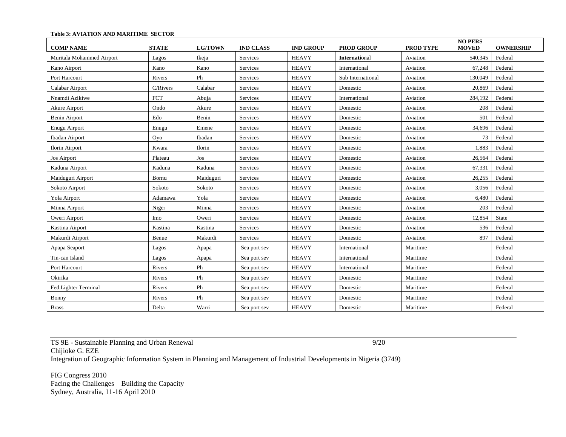| <b>COMP NAME</b>          | <b>STATE</b> | <b>LG/TOWN</b> | <b>IND CLASS</b> | <b>IND GROUP</b> | <b>PROD GROUP</b>    | <b>PROD TYPE</b> | <b>NO PERS</b><br><b>MOVED</b> | <b>OWNERSHIP</b> |
|---------------------------|--------------|----------------|------------------|------------------|----------------------|------------------|--------------------------------|------------------|
| Muritala Mohammed Airport | Lagos        | Ikeja          | Services         | <b>HEAVY</b>     | <b>International</b> | Aviation         | 540,345                        | Federal          |
| Kano Airport              | Kano         | Kano           | Services         | <b>HEAVY</b>     | International        | Aviation         | 67,248                         | Federal          |
| Port Harcourt             | Rivers       | Ph             | Services         | <b>HEAVY</b>     | Sub International    | Aviation         | 130,049                        | Federal          |
| Calabar Airport           | C/Rivers     | Calabar        | Services         | <b>HEAVY</b>     | Domestic             | Aviation         | 20.869                         | Federal          |
| Nnamdi Azikiwe            | <b>FCT</b>   | Abuja          | Services         | <b>HEAVY</b>     | International        | Aviation         | 284,192                        | Federal          |
| Akure Airport             | Ondo         | Akure          | Services         | <b>HEAVY</b>     | Domestic             | Aviation         | 208                            | Federal          |
| Benin Airport             | Edo          | Benin          | Services         | <b>HEAVY</b>     | Domestic             | Aviation         | 501                            | Federal          |
| Enugu Airport             | Enugu        | Emene          | Services         | <b>HEAVY</b>     | Domestic             | Aviation         | 34,696                         | Federal          |
| <b>Ibadan Airport</b>     | Oyo          | Ibadan         | Services         | <b>HEAVY</b>     | Domestic             | Aviation         | 73                             | Federal          |
| <b>Ilorin Airport</b>     | Kwara        | <b>Ilorin</b>  | Services         | <b>HEAVY</b>     | Domestic             | Aviation         | 1,883                          | Federal          |
| <b>Jos Airport</b>        | Plateau      | Jos            | Services         | <b>HEAVY</b>     | Domestic             | Aviation         | 26,564                         | Federal          |
| Kaduna Airport            | Kaduna       | Kaduna         | Services         | <b>HEAVY</b>     | Domestic             | Aviation         | 67,331                         | Federal          |
| Maiduguri Airport         | Bornu        | Maiduguri      | Services         | <b>HEAVY</b>     | Domestic             | Aviation         | 26,255                         | Federal          |
| Sokoto Airport            | Sokoto       | Sokoto         | Services         | <b>HEAVY</b>     | Domestic             | Aviation         | 3,056                          | Federal          |
| Yola Airport              | Adamawa      | Yola           | Services         | <b>HEAVY</b>     | Domestic             | Aviation         | 6,480                          | Federal          |
| Minna Airport             | Niger        | Minna          | Services         | <b>HEAVY</b>     | Domestic             | Aviation         | 203                            | Federal          |
| Oweri Airport             | Imo          | Oweri          | Services         | <b>HEAVY</b>     | Domestic             | Aviation         | 12,854                         | State            |
| Kastina Airport           | Kastina      | Kastina        | Services         | <b>HEAVY</b>     | Domestic             | Aviation         | 536                            | Federal          |
| Makurdi Airport           | Benue        | Makurdi        | Services         | <b>HEAVY</b>     | Domestic             | Aviation         | 897                            | Federal          |
| Apapa Seaport             | Lagos        | Apapa          | Sea port sev     | <b>HEAVY</b>     | International        | Maritime         |                                | Federal          |
| Tin-can Island            | Lagos        | Apapa          | Sea port sev     | <b>HEAVY</b>     | International        | Maritime         |                                | Federal          |
| Port Harcourt             | Rivers       | Ph             | Sea port sev     | <b>HEAVY</b>     | International        | Maritime         |                                | Federal          |
| Okirika                   | Rivers       | Ph             | Sea port sev     | <b>HEAVY</b>     | Domestic             | Maritime         |                                | Federal          |
| Fed.Lighter Terminal      | Rivers       | Ph             | Sea port sev     | <b>HEAVY</b>     | Domestic             | Maritime         |                                | Federal          |
| Bonny                     | Rivers       | Ph             | Sea port sev     | <b>HEAVY</b>     | Domestic             | Maritime         |                                | Federal          |
| <b>Brass</b>              | Delta        | Warri          | Sea port sev     | <b>HEAVY</b>     | Domestic             | Maritime         |                                | Federal          |

#### **Table 3: AVIATION AND MARITIME SECTOR**

TS 9E - Sustainable Planning and Urban Renewal 9/20 Chijioke G. EZE Integration of Geographic Information System in Planning and Management of Industrial Developments in Nigeria (3749)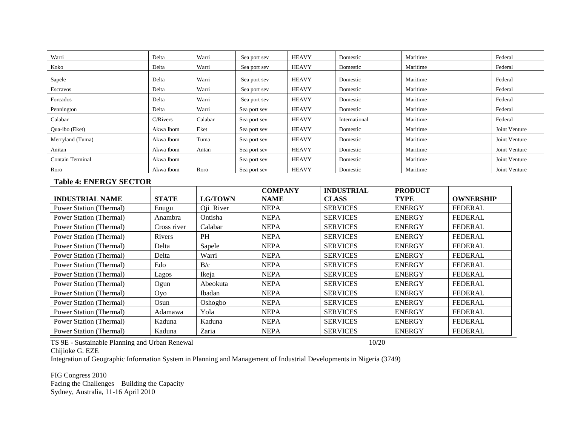| Warri                   | Delta     | Warri   | Sea port sev | <b>HEAVY</b> | Domestic      | Maritime | Federal       |
|-------------------------|-----------|---------|--------------|--------------|---------------|----------|---------------|
| Koko                    | Delta     | Warri   | Sea port sev | <b>HEAVY</b> | Domestic      | Maritime | Federal       |
| Sapele                  | Delta     | Warri   | Sea port sev | <b>HEAVY</b> | Domestic      | Maritime | Federal       |
| Escravos                | Delta     | Warri   | Sea port sev | <b>HEAVY</b> | Domestic      | Maritime | Federal       |
| Forcados                | Delta     | Warri   | Sea port sev | <b>HEAVY</b> | Domestic      | Maritime | Federal       |
| Pennington              | Delta     | Warri   | Sea port sev | <b>HEAVY</b> | Domestic      | Maritime | Federal       |
| Calabar                 | C/Rivers  | Calabar | Sea port sev | <b>HEAVY</b> | International | Maritime | Federal       |
| Qua-ibo (Eket)          | Akwa Ibom | Eket    | Sea port sev | <b>HEAVY</b> | Domestic      | Maritime | Joint Venture |
| Merryland (Tuma)        | Akwa Ibom | Tuma    | Sea port sev | <b>HEAVY</b> | Domestic      | Maritime | Joint Venture |
| Anitan                  | Akwa Ibom | Antan   | Sea port sev | <b>HEAVY</b> | Domestic      | Maritime | Joint Venture |
| <b>Contain Terminal</b> | Akwa Ibom |         | Sea port sev | <b>HEAVY</b> | Domestic      | Maritime | Joint Venture |
| Roro                    | Akwa Ibom | Roro    | Sea port sev | <b>HEAVY</b> | Domestic      | Maritime | Joint Venture |

### **Table 4: ENERGY SECTOR**

|                         |              |                | <b>COMPANY</b> | <b>INDUSTRIAL</b> | <b>PRODUCT</b> |                  |
|-------------------------|--------------|----------------|----------------|-------------------|----------------|------------------|
| <b>INDUSTRIAL NAME</b>  | <b>STATE</b> | <b>LG/TOWN</b> | <b>NAME</b>    | <b>CLASS</b>      | <b>TYPE</b>    | <b>OWNERSHIP</b> |
| Power Station (Thermal) | Enugu        | Oji River      | <b>NEPA</b>    | <b>SERVICES</b>   | <b>ENERGY</b>  | <b>FEDERAL</b>   |
| Power Station (Thermal) | Anambra      | Ontisha        | <b>NEPA</b>    | <b>SERVICES</b>   | <b>ENERGY</b>  | <b>FEDERAL</b>   |
| Power Station (Thermal) | Cross river  | Calabar        | <b>NEPA</b>    | <b>SERVICES</b>   | <b>ENERGY</b>  | <b>FEDERAL</b>   |
| Power Station (Thermal) | Rivers       | <b>PH</b>      | <b>NEPA</b>    | <b>SERVICES</b>   | <b>ENERGY</b>  | <b>FEDERAL</b>   |
| Power Station (Thermal) | Delta        | Sapele         | <b>NEPA</b>    | <b>SERVICES</b>   | <b>ENERGY</b>  | <b>FEDERAL</b>   |
| Power Station (Thermal) | Delta        | Warri          | <b>NEPA</b>    | <b>SERVICES</b>   | <b>ENERGY</b>  | <b>FEDERAL</b>   |
| Power Station (Thermal) | Edo          | B/c            | <b>NEPA</b>    | <b>SERVICES</b>   | <b>ENERGY</b>  | <b>FEDERAL</b>   |
| Power Station (Thermal) | Lagos        | Ikeja          | <b>NEPA</b>    | <b>SERVICES</b>   | <b>ENERGY</b>  | <b>FEDERAL</b>   |
| Power Station (Thermal) | Ogun         | Abeokuta       | <b>NEPA</b>    | <b>SERVICES</b>   | <b>ENERGY</b>  | <b>FEDERAL</b>   |
| Power Station (Thermal) | <b>Ovo</b>   | Ibadan         | <b>NEPA</b>    | <b>SERVICES</b>   | <b>ENERGY</b>  | <b>FEDERAL</b>   |
| Power Station (Thermal) | Osun         | Oshogbo        | <b>NEPA</b>    | <b>SERVICES</b>   | <b>ENERGY</b>  | <b>FEDERAL</b>   |
| Power Station (Thermal) | Adamawa      | Yola           | <b>NEPA</b>    | <b>SERVICES</b>   | <b>ENERGY</b>  | <b>FEDERAL</b>   |
| Power Station (Thermal) | Kaduna       | Kaduna         | <b>NEPA</b>    | <b>SERVICES</b>   | <b>ENERGY</b>  | <b>FEDERAL</b>   |
| Power Station (Thermal) | Kaduna       | Zaria          | <b>NEPA</b>    | <b>SERVICES</b>   | <b>ENERGY</b>  | <b>FEDERAL</b>   |

TS 9E - Sustainable Planning and Urban Renewal 10/20 Chijioke G. EZE

Integration of Geographic Information System in Planning and Management of Industrial Developments in Nigeria (3749)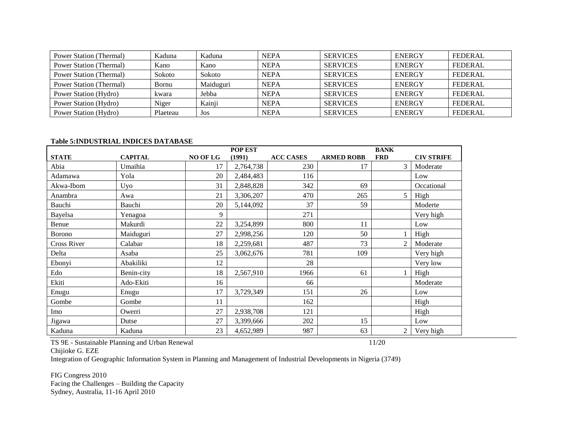| Power Station (Thermal) | Kaduna   | Kaduna        | <b>NEPA</b> | <b>SERVICES</b> | <b>ENERGY</b> | FEDERAL        |
|-------------------------|----------|---------------|-------------|-----------------|---------------|----------------|
| Power Station (Thermal) | Kano     | Kano          | <b>NEPA</b> | <b>SERVICES</b> | <b>ENERGY</b> | <b>FEDERAL</b> |
| Power Station (Thermal) | Sokoto   | <b>Sokoto</b> | <b>NEPA</b> | <b>SERVICES</b> | <b>ENERGY</b> | <b>FEDERAL</b> |
| Power Station (Thermal) | Bornu    | Maiduguri     | <b>NEPA</b> | <b>SERVICES</b> | <b>ENERGY</b> | FEDERAL        |
| Power Station (Hydro)   | kwara    | Jebba         | <b>NEPA</b> | <b>SERVICES</b> | <b>ENERGY</b> | FEDERAL        |
| Power Station (Hydro)   | Niger    | Kainji        | <b>NEPA</b> | <b>SERVICES</b> | <b>ENERGY</b> | <b>FEDERAL</b> |
| Power Station (Hydro)   | Plaeteau | Jos           | <b>NEPA</b> | <b>SERVICES</b> | <b>ENERGY</b> | FEDERAL        |

### **Table 5:INDUSTRIAL INDICES DATABASE**

|               |                |          | POP EST   |                  |                   | <b>BANK</b>    |                   |
|---------------|----------------|----------|-----------|------------------|-------------------|----------------|-------------------|
| <b>STATE</b>  | <b>CAPITAL</b> | NO OF LG | (1991)    | <b>ACC CASES</b> | <b>ARMED ROBB</b> | <b>FRD</b>     | <b>CIV STRIFE</b> |
| Abia          | Umaihia        | 17       | 2,764,738 | 230              | 17                | 3              | Moderate          |
| Adamawa       | Yola           | 20       | 2,484,483 | 116              |                   |                | Low               |
| Akwa-Ibom     | Uyo            | 31       | 2,848,828 | 342              | 69                |                | Occational        |
| Anambra       | Awa            | 21       | 3,306,207 | 470              | 265               | 5 <sup>5</sup> | High              |
| Bauchi        | Bauchi         | 20       | 5,144,092 | 37               | 59                |                | Moderte           |
| Bayelsa       | Yenagoa        | 9        |           | 271              |                   |                | Very high         |
| Benue         | Makurdi        | 22       | 3,254,899 | 800              | 11                |                | Low               |
| <b>Borono</b> | Maiduguri      | 27       | 2,998,256 | 120              | 50                |                | High              |
| Cross River   | Calabar        | 18       | 2,259,681 | 487              | 73                | 2              | Moderate          |
| Delta         | Asaba          | 25       | 3,062,676 | 781              | 109               |                | Very high         |
| Ebonyi        | Abakiliki      | 12       |           | 28               |                   |                | Very low          |
| Edo           | Benin-city     | 18       | 2,567,910 | 1966             | 61                |                | High              |
| Ekiti         | Ado-Ekiti      | 16       |           | 66               |                   |                | Moderate          |
| Enugu         | Enugu          | 17       | 3,729,349 | 151              | 26                |                | Low               |
| Gombe         | Gombe          | 11       |           | 162              |                   |                | High              |
| Imo           | Owerri         | 27       | 2,938,708 | 121              |                   |                | High              |
| Jigawa        | Dutse          | 27       | 3,399,666 | 202              | 15                |                | Low               |
| Kaduna        | Kaduna         | 23       | 4,652,989 | 987              | 63                | 2              | Very high         |

TS 9E - Sustainable Planning and Urban Renewal 11/20 Chijioke G. EZE

Integration of Geographic Information System in Planning and Management of Industrial Developments in Nigeria (3749)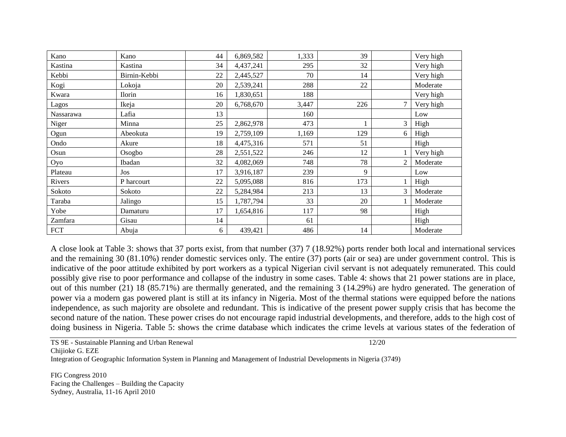| Kano       | Kano         | 44 | 6,869,582 | 1,333 | 39  |        | Very high |
|------------|--------------|----|-----------|-------|-----|--------|-----------|
| Kastina    | Kastina      | 34 | 4,437,241 | 295   | 32  |        | Very high |
| Kebbi      | Birnin-Kebbi | 22 | 2,445,527 | 70    | 14  |        | Very high |
| Kogi       | Lokoja       | 20 | 2,539,241 | 288   | 22  |        | Moderate  |
| Kwara      | Ilorin       | 16 | 1,830,651 | 188   |     |        | Very high |
| Lagos      | Ikeja        | 20 | 6,768,670 | 3,447 | 226 | $\tau$ | Very high |
| Nassarawa  | Lafia        | 13 |           | 160   |     |        | Low       |
| Niger      | Minna        | 25 | 2,862,978 | 473   |     | 3      | High      |
| Ogun       | Abeokuta     | 19 | 2,759,109 | 1,169 | 129 | 6      | High      |
| Ondo       | Akure        | 18 | 4,475,316 | 571   | 51  |        | High      |
| Osun       | Osogbo       | 28 | 2,551,522 | 246   | 12  |        | Very high |
| Oyo        | Ibadan       | 32 | 4,082,069 | 748   | 78  | 2      | Moderate  |
| Plateau    | Jos          | 17 | 3,916,187 | 239   | 9   |        | Low       |
| Rivers     | P harcourt   | 22 | 5,095,088 | 816   | 173 |        | High      |
| Sokoto     | Sokoto       | 22 | 5,284,984 | 213   | 13  | 3      | Moderate  |
| Taraba     | Jalingo      | 15 | 1,787,794 | 33    | 20  |        | Moderate  |
| Yobe       | Damaturu     | 17 | 1,654,816 | 117   | 98  |        | High      |
| Zamfara    | Gisau        | 14 |           | 61    |     |        | High      |
| <b>FCT</b> | Abuja        | 6  | 439,421   | 486   | 14  |        | Moderate  |

A close look at Table 3: shows that 37 ports exist, from that number (37) 7 (18.92%) ports render both local and international services and the remaining 30 (81.10%) render domestic services only. The entire (37) ports (air or sea) are under government control. This is indicative of the poor attitude exhibited by port workers as a typical Nigerian civil servant is not adequately remunerated. This could possibly give rise to poor performance and collapse of the industry in some cases. Table 4: shows that 21 power stations are in place, out of this number (21) 18 (85.71%) are thermally generated, and the remaining 3 (14.29%) are hydro generated. The generation of power via a modern gas powered plant is still at its infancy in Nigeria. Most of the thermal stations were equipped before the nations independence, as such majority are obsolete and redundant. This is indicative of the present power supply crisis that has become the second nature of the nation. These power crises do not encourage rapid industrial developments, and therefore, adds to the high cost of doing business in Nigeria. Table 5: shows the crime database which indicates the crime levels at various states of the federation of

TS 9E - Sustainable Planning and Urban Renewal 12/20 Chijioke G. EZE Integration of Geographic Information System in Planning and Management of Industrial Developments in Nigeria (3749)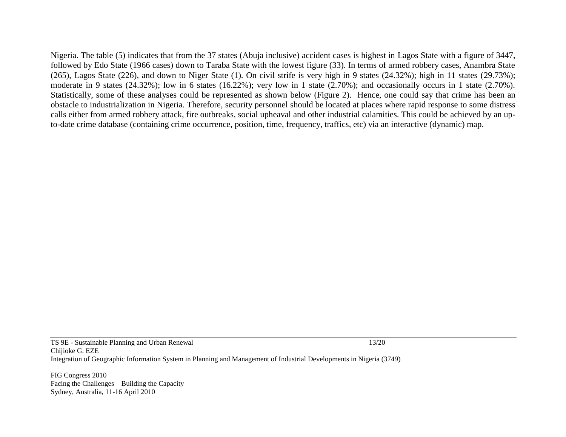Nigeria. The table (5) indicates that from the 37 states (Abuja inclusive) accident cases is highest in Lagos State with a figure of 3447, followed by Edo State (1966 cases) down to Taraba State with the lowest figure (33). In terms of armed robbery cases, Anambra State (265), Lagos State (226), and down to Niger State (1). On civil strife is very high in 9 states (24.32%); high in 11 states (29.73%); moderate in 9 states (24.32%); low in 6 states (16.22%); very low in 1 state (2.70%); and occasionally occurs in 1 state (2.70%). Statistically, some of these analyses could be represented as shown below (Figure 2). Hence, one could say that crime has been an obstacle to industrialization in Nigeria. Therefore, security personnel should be located at places where rapid response to some distress calls either from armed robbery attack, fire outbreaks, social upheaval and other industrial calamities. This could be achieved by an upto-date crime database (containing crime occurrence, position, time, frequency, traffics, etc) via an interactive (dynamic) map.

TS 9E - Sustainable Planning and Urban Renewal 13/20 Chijioke G. EZE Integration of Geographic Information System in Planning and Management of Industrial Developments in Nigeria (3749)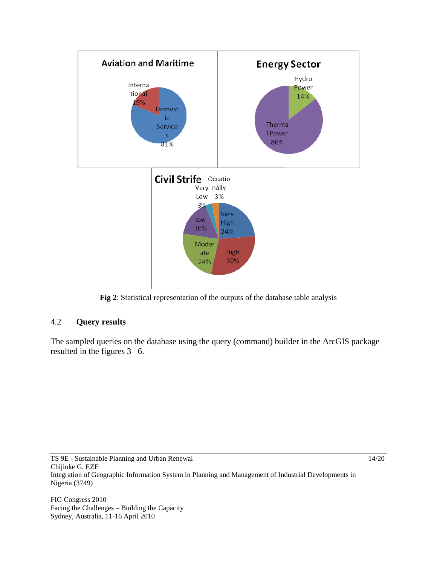

**Fig 2**: Statistical representation of the outputs of the database table analysis

### 4.2 **Query results**

The sampled queries on the database using the query (command) builder in the ArcGIS package resulted in the figures 3 –6.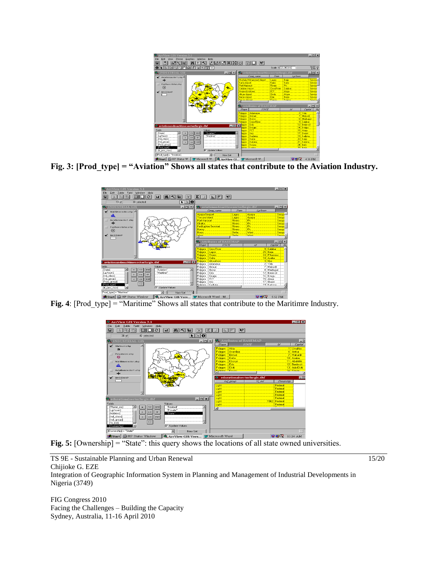

Fig. 3: [Prod\_type] = "Aviation" Shows all states that contribute to the Aviation Industry.



**Fig. 4**: [Prod\_type] = "Maritime" Shows all states that contribute to the Maritimre Industry.



Fig. 5: [Ownership] = "State": this query shows the locations of all state owned universities.

TS 9E - Sustainable Planning and Urban Renewal 15/20 Chijioke G. EZE

Integration of Geographic Information System in Planning and Management of Industrial Developments in Nigeria (3749)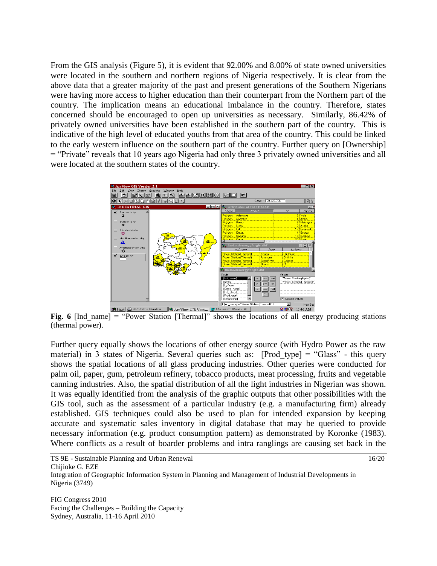From the GIS analysis (Figure 5), it is evident that 92.00% and 8.00% of state owned universities were located in the southern and northern regions of Nigeria respectively. It is clear from the above data that a greater majority of the past and present generations of the Southern Nigerians were having more access to higher education than their counterpart from the Northern part of the country. The implication means an educational imbalance in the country. Therefore, states concerned should be encouraged to open up universities as necessary. Similarly, 86.42% of privately owned universities have been established in the southern part of the country. This is indicative of the high level of educated youths from that area of the country. This could be linked to the early western influence on the southern part of the country. Further query on [Ownership] = "Private" reveals that 10 years ago Nigeria had only three 3 privately owned universities and all were located at the southern states of the country.



**Fig. 6** [Ind name] = "Power Station [Thermal]" shows the locations of all energy producing stations (thermal power).

Further query equally shows the locations of other energy source (with Hydro Power as the raw material) in 3 states of Nigeria. Several queries such as: [Prod type] = "Glass" - this query shows the spatial locations of all glass producing industries. Other queries were conducted for palm oil, paper, gum, petroleum refinery, tobacco products, meat processing, fruits and vegetable canning industries. Also, the spatial distribution of all the light industries in Nigerian was shown. It was equally identified from the analysis of the graphic outputs that other possibilities with the GIS tool, such as the assessment of a particular industry (e.g. a manufacturing firm) already established. GIS techniques could also be used to plan for intended expansion by keeping accurate and systematic sales inventory in digital database that may be queried to provide necessary information (e.g. product consumption pattern) as demonstrated by Koronke (1983). Where conflicts as a result of boarder problems and intra ranglings are causing set back in the

TS 9E - Sustainable Planning and Urban Renewal 16/20 Chijioke G. EZE Integration of Geographic Information System in Planning and Management of Industrial Developments in Nigeria (3749)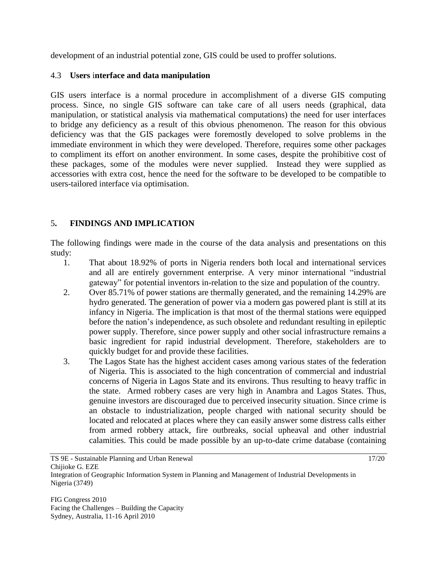development of an industrial potential zone, GIS could be used to proffer solutions.

### 4.3 **Users** i**nterface and data manipulation**

GIS users interface is a normal procedure in accomplishment of a diverse GIS computing process. Since, no single GIS software can take care of all users needs (graphical, data manipulation, or statistical analysis via mathematical computations) the need for user interfaces to bridge any deficiency as a result of this obvious phenomenon. The reason for this obvious deficiency was that the GIS packages were foremostly developed to solve problems in the immediate environment in which they were developed. Therefore, requires some other packages to compliment its effort on another environment. In some cases, despite the prohibitive cost of these packages, some of the modules were never supplied. Instead they were supplied as accessories with extra cost, hence the need for the software to be developed to be compatible to users-tailored interface via optimisation.

## 5**. FINDINGS AND IMPLICATION**

The following findings were made in the course of the data analysis and presentations on this study:

- 1. That about 18.92% of ports in Nigeria renders both local and international services and all are entirely government enterprise. A very minor international "industrial gateway" for potential inventors in-relation to the size and population of the country.
- 2. Over 85.71% of power stations are thermally generated, and the remaining 14.29% are hydro generated. The generation of power via a modern gas powered plant is still at its infancy in Nigeria. The implication is that most of the thermal stations were equipped before the nation's independence, as such obsolete and redundant resulting in epileptic power supply. Therefore, since power supply and other social infrastructure remains a basic ingredient for rapid industrial development. Therefore, stakeholders are to quickly budget for and provide these facilities.
- 3. The Lagos State has the highest accident cases among various states of the federation of Nigeria. This is associated to the high concentration of commercial and industrial concerns of Nigeria in Lagos State and its environs. Thus resulting to heavy traffic in the state. Armed robbery cases are very high in Anambra and Lagos States. Thus, genuine investors are discouraged due to perceived insecurity situation. Since crime is an obstacle to industrialization, people charged with national security should be located and relocated at places where they can easily answer some distress calls either from armed robbery attack, fire outbreaks, social upheaval and other industrial calamities. This could be made possible by an up-to-date crime database (containing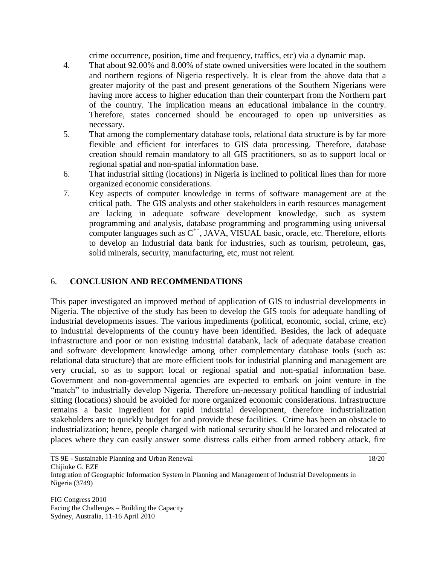crime occurrence, position, time and frequency, traffics, etc) via a dynamic map.

- 4. That about 92.00% and 8.00% of state owned universities were located in the southern and northern regions of Nigeria respectively. It is clear from the above data that a greater majority of the past and present generations of the Southern Nigerians were having more access to higher education than their counterpart from the Northern part of the country. The implication means an educational imbalance in the country. Therefore, states concerned should be encouraged to open up universities as necessary.
- 5. That among the complementary database tools, relational data structure is by far more flexible and efficient for interfaces to GIS data processing. Therefore, database creation should remain mandatory to all GIS practitioners, so as to support local or regional spatial and non-spatial information base.
- 6. That industrial sitting (locations) in Nigeria is inclined to political lines than for more organized economic considerations.
- 7. Key aspects of computer knowledge in terms of software management are at the critical path. The GIS analysts and other stakeholders in earth resources management are lacking in adequate software development knowledge, such as system programming and analysis, database programming and programming using universal computer languages such as  $C^{++}$ , JAVA, VISUAL basic, oracle, etc. Therefore, efforts to develop an Industrial data bank for industries, such as tourism, petroleum, gas, solid minerals, security, manufacturing, etc, must not relent.

### 6. **CONCLUSION AND RECOMMENDATIONS**

This paper investigated an improved method of application of GIS to industrial developments in Nigeria. The objective of the study has been to develop the GIS tools for adequate handling of industrial developments issues. The various impediments (political, economic, social, crime, etc) to industrial developments of the country have been identified. Besides, the lack of adequate infrastructure and poor or non existing industrial databank, lack of adequate database creation and software development knowledge among other complementary database tools (such as: relational data structure) that are more efficient tools for industrial planning and management are very crucial, so as to support local or regional spatial and non-spatial information base. Government and non-governmental agencies are expected to embark on joint venture in the "match" to industrially develop Nigeria. Therefore un-necessary political handling of industrial sitting (locations) should be avoided for more organized economic considerations. Infrastructure remains a basic ingredient for rapid industrial development, therefore industrialization stakeholders are to quickly budget for and provide these facilities. Crime has been an obstacle to industrialization; hence, people charged with national security should be located and relocated at places where they can easily answer some distress calls either from armed robbery attack, fire

TS 9E - Sustainable Planning and Urban Renewal 18/20 Chijioke G. EZE Integration of Geographic Information System in Planning and Management of Industrial Developments in Nigeria (3749)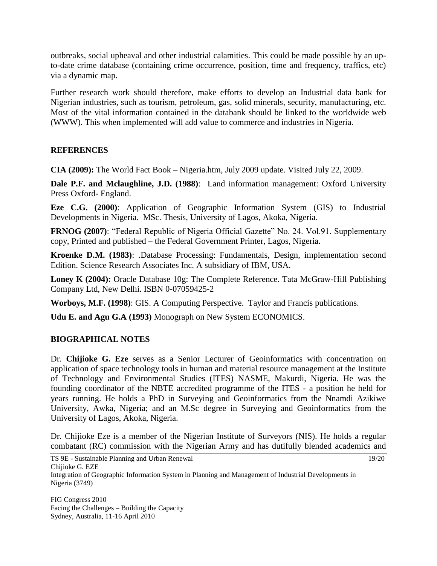outbreaks, social upheaval and other industrial calamities. This could be made possible by an upto-date crime database (containing crime occurrence, position, time and frequency, traffics, etc) via a dynamic map.

Further research work should therefore, make efforts to develop an Industrial data bank for Nigerian industries, such as tourism, petroleum, gas, solid minerals, security, manufacturing, etc. Most of the vital information contained in the databank should be linked to the worldwide web (WWW). This when implemented will add value to commerce and industries in Nigeria.

### **REFERENCES**

**CIA (2009):** The World Fact Book – Nigeria.htm, July 2009 update. Visited July 22, 2009.

**Dale P.F. and Mclaughline, J.D. (1988)**: Land information management: Oxford University Press Oxford- England.

**Eze C.G. (2000)**: Application of Geographic Information System (GIS) to Industrial Developments in Nigeria. MSc. Thesis, University of Lagos, Akoka, Nigeria.

**FRNOG (2007)**: "Federal Republic of Nigeria Official Gazette" No. 24. Vol.91. Supplementary copy, Printed and published – the Federal Government Printer, Lagos, Nigeria.

**Kroenke D.M. (1983)**: .Database Processing: Fundamentals, Design, implementation second Edition. Science Research Associates Inc. A subsidiary of IBM, USA.

Loney K (2004): Oracle Database 10g: The Complete Reference. Tata McGraw-Hill Publishing Company Ltd, New Delhi. ISBN 0-07059425-2

**Worboys, M.F. (1998)**: GIS. A Computing Perspective. Taylor and Francis publications.

**Udu E. and Agu G.A (1993)** Monograph on New System ECONOMICS.

## **BIOGRAPHICAL NOTES**

Dr. **Chijioke G. Eze** serves as a Senior Lecturer of Geoinformatics with concentration on application of space technology tools in human and material resource management at the Institute of Technology and Environmental Studies (ITES) NASME, Makurdi, Nigeria. He was the founding coordinator of the NBTE accredited programme of the ITES - a position he held for years running. He holds a PhD in Surveying and Geoinformatics from the Nnamdi Azikiwe University, Awka, Nigeria; and an M.Sc degree in Surveying and Geoinformatics from the University of Lagos, Akoka, Nigeria.

Dr. Chijioke Eze is a member of the Nigerian Institute of Surveyors (NIS). He holds a regular combatant (RC) commission with the Nigerian Army and has dutifully blended academics and

TS 9E - Sustainable Planning and Urban Renewal 19/20 Chijioke G. EZE Integration of Geographic Information System in Planning and Management of Industrial Developments in Nigeria (3749)